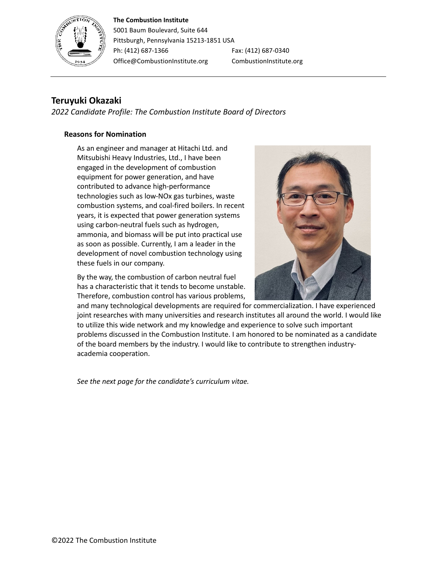#### **The Combustion Institute**



5001 Baum Boulevard, Suite 644 Pittsburgh, Pennsylvania 15213-1851 USA Ph: (412) 687-1366 Fax: (412) 687-0340 Office@CombustionInstitute.org CombustionInstitute.org

# **Teruyuki Okazaki**

*2022 Candidate Profile: The Combustion Institute Board of Directors*

## **Reasons for Nomination**

As an engineer and manager at Hitachi Ltd. and Mitsubishi Heavy Industries, Ltd., I have been engaged in the development of combustion equipment for power generation, and have contributed to advance high-performance technologies such as low-NOx gas turbines, waste combustion systems, and coal-fired boilers. In recent years, it is expected that power generation systems using carbon-neutral fuels such as hydrogen, ammonia, and biomass will be put into practical use as soon as possible. Currently, I am a leader in the development of novel combustion technology using these fuels in our company.

By the way, the combustion of carbon neutral fuel has a characteristic that it tends to become unstable. Therefore, combustion control has various problems,



and many technological developments are required for commercialization. I have experienced joint researches with many universities and research institutes all around the world. I would like to utilize this wide network and my knowledge and experience to solve such important problems discussed in the Combustion Institute. I am honored to be nominated as a candidate of the board members by the industry. I would like to contribute to strengthen industryacademia cooperation.

*See the next page for the candidate's curriculum vitae.*